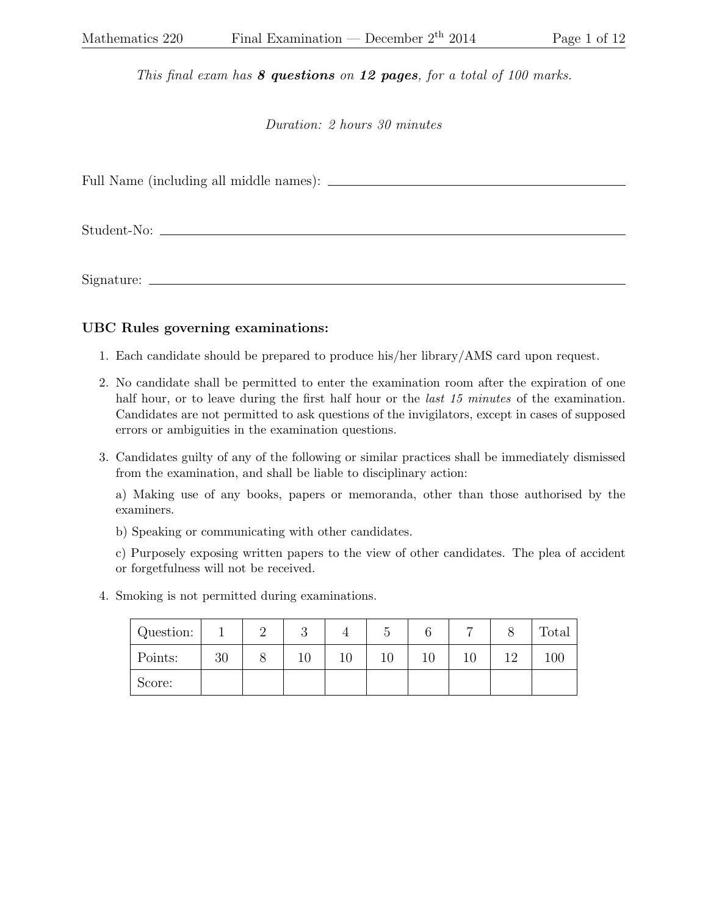This final exam has  $8$  questions on 12 pages, for a total of 100 marks.

Duration: 2 hours 30 minutes

Full Name (including all middle names):

Student-No:

Signature:

## UBC Rules governing examinations:

- 1. Each candidate should be prepared to produce his/her library/AMS card upon request.
- 2. No candidate shall be permitted to enter the examination room after the expiration of one half hour, or to leave during the first half hour or the *last 15 minutes* of the examination. Candidates are not permitted to ask questions of the invigilators, except in cases of supposed errors or ambiguities in the examination questions.
- 3. Candidates guilty of any of the following or similar practices shall be immediately dismissed from the examination, and shall be liable to disciplinary action:

a) Making use of any books, papers or memoranda, other than those authorised by the examiners.

b) Speaking or communicating with other candidates.

c) Purposely exposing written papers to the view of other candidates. The plea of accident or forgetfulness will not be received.

4. Smoking is not permitted during examinations.

| Question: |    |   | $\Omega$<br>U |    |    |    | $\overline{ }$ | Total |
|-----------|----|---|---------------|----|----|----|----------------|-------|
| Points:   | 30 | Ō | 10            | ΙU | 10 | 10 |                | 100   |
| Score:    |    |   |               |    |    |    |                |       |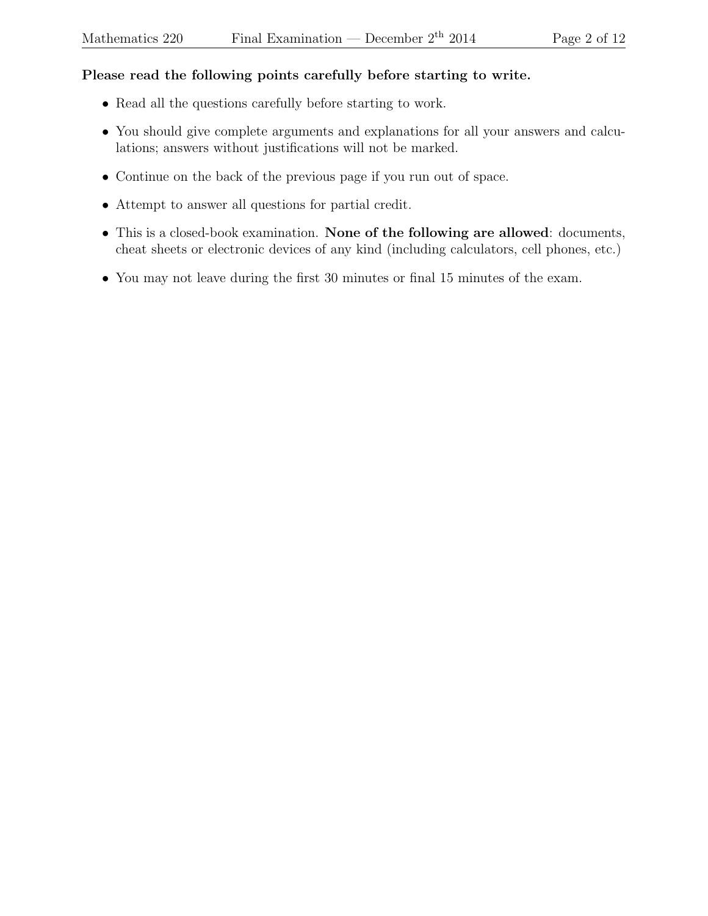## Please read the following points carefully before starting to write.

- Read all the questions carefully before starting to work.
- You should give complete arguments and explanations for all your answers and calculations; answers without justifications will not be marked.
- Continue on the back of the previous page if you run out of space.
- Attempt to answer all questions for partial credit.
- This is a closed-book examination. None of the following are allowed: documents, cheat sheets or electronic devices of any kind (including calculators, cell phones, etc.)
- You may not leave during the first 30 minutes or final 15 minutes of the exam.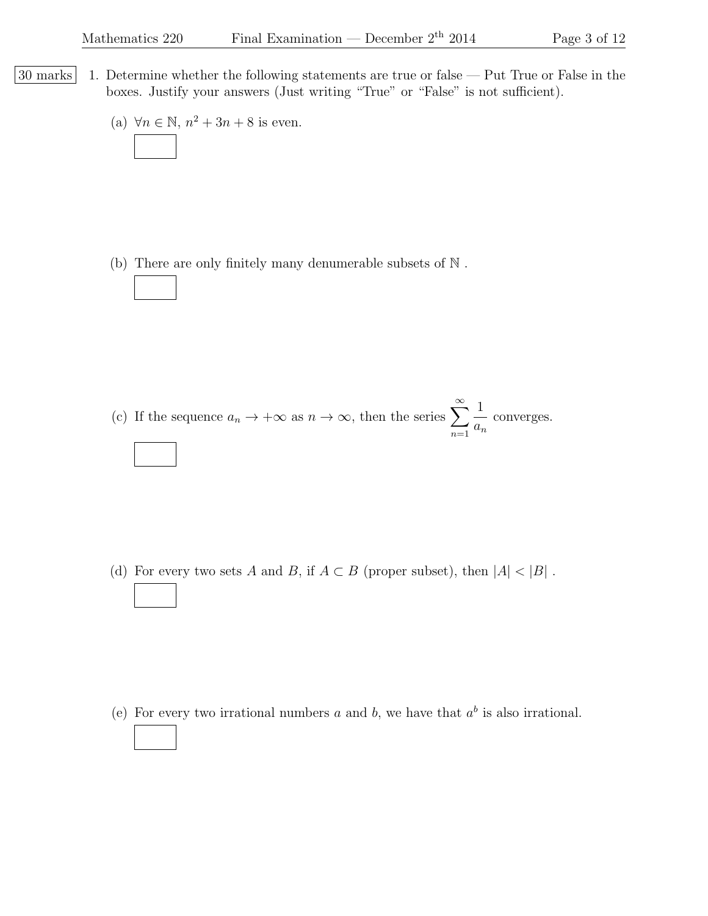- 30 marks 1. Determine whether the following statements are true or false Put True or False in the boxes. Justify your answers (Just writing "True" or "False" is not sufficient).
	- (a)  $\forall n \in \mathbb{N}, n^2 + 3n + 8$  is even.

(b) There are only finitely many denumerable subsets of N .

(c) If the sequence  $a_n \to +\infty$  as  $n \to \infty$ , then the series  $\sum_{n=1}^{\infty}$  $n=1$ 1  $a_n$ converges.

(d) For every two sets A and B, if  $A \subset B$  (proper subset), then  $|A| < |B|$ .

(e) For every two irrational numbers a and b, we have that  $a^b$  is also irrational.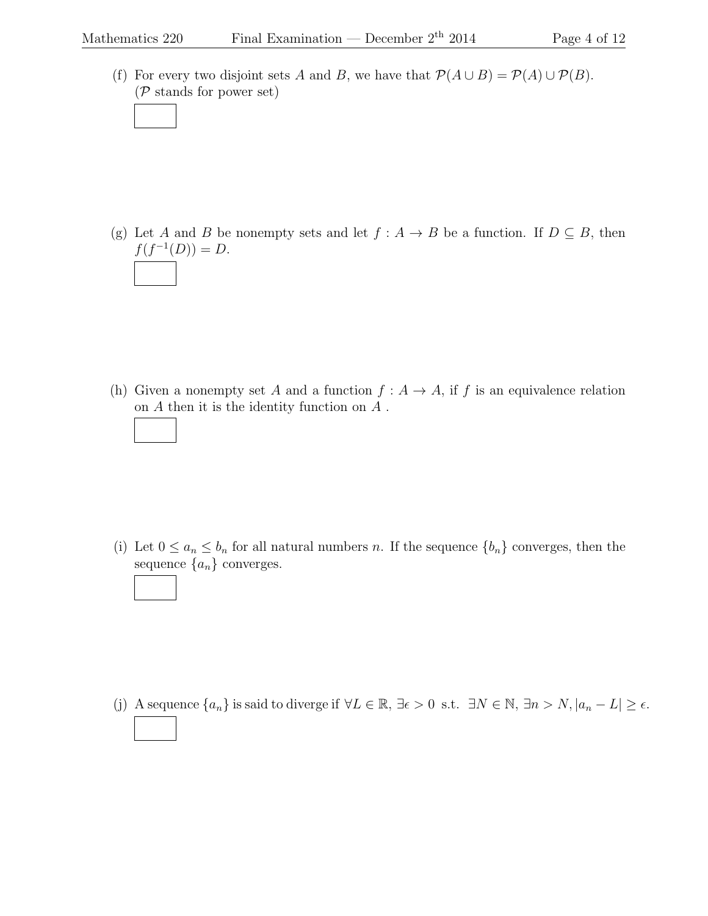(f) For every two disjoint sets A and B, we have that  $\mathcal{P}(A \cup B) = \mathcal{P}(A) \cup \mathcal{P}(B)$ . (P stands for power set)

(g) Let A and B be nonempty sets and let  $f : A \to B$  be a function. If  $D \subseteq B$ , then  $f(f^{-1}(D)) = D.$ 

(h) Given a nonempty set A and a function  $f: A \to A$ , if f is an equivalence relation on  $A$  then it is the identity function on  $A$ .

(i) Let  $0 \le a_n \le b_n$  for all natural numbers n. If the sequence  $\{b_n\}$  converges, then the sequence  $\{a_n\}$  converges.

(j) A sequence  ${a_n}$  is said to diverge if  $\forall L \in \mathbb{R}$ ,  $\exists \epsilon > 0$  s.t.  $\exists N \in \mathbb{N}$ ,  $\exists n > N, |a_n - L| \ge \epsilon$ .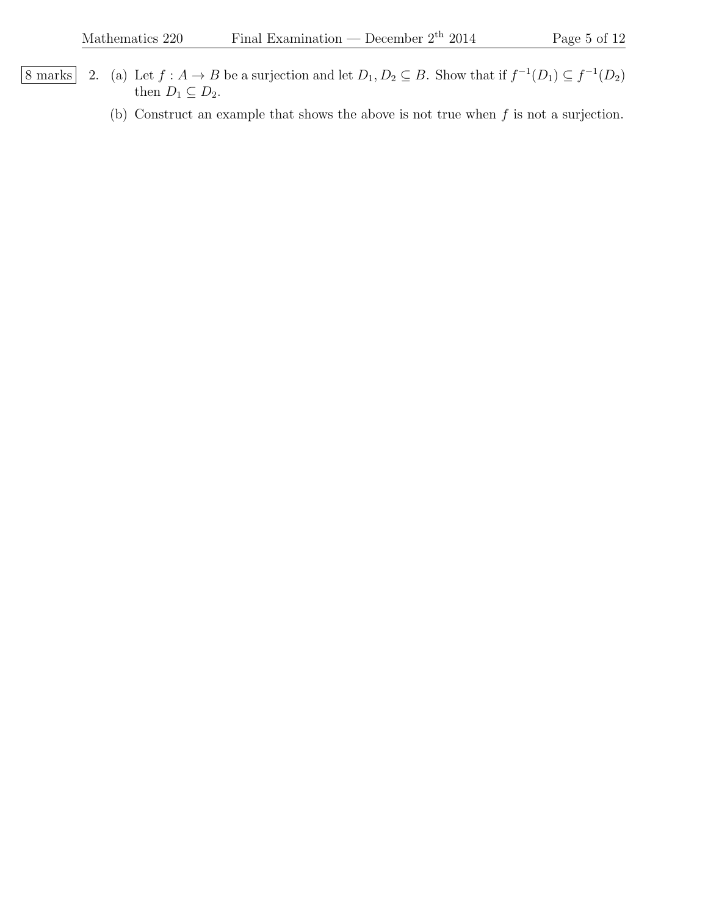- 8 marks 2. (a) Let  $f : A \to B$  be a surjection and let  $D_1, D_2 \subseteq B$ . Show that if  $f^{-1}(D_1) \subseteq f^{-1}(D_2)$ then  $D_1 \subseteq D_2$ .
	- (b) Construct an example that shows the above is not true when  $f$  is not a surjection.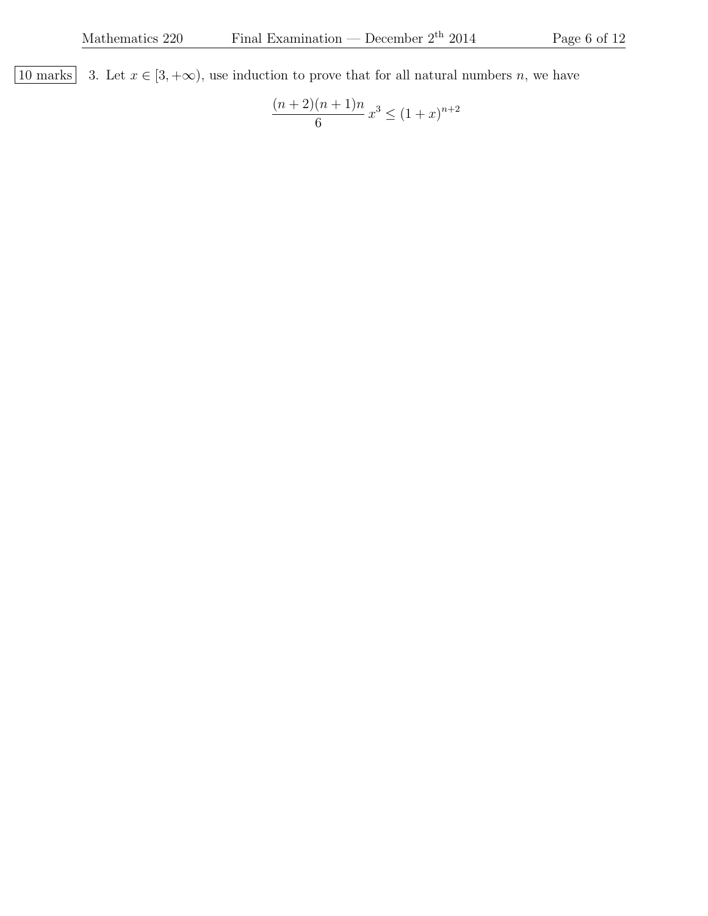10 marks 3. Let  $x \in [3, +\infty)$ , use induction to prove that for all natural numbers n, we have

$$
\frac{(n+2)(n+1)n}{6}x^3 \le (1+x)^{n+2}
$$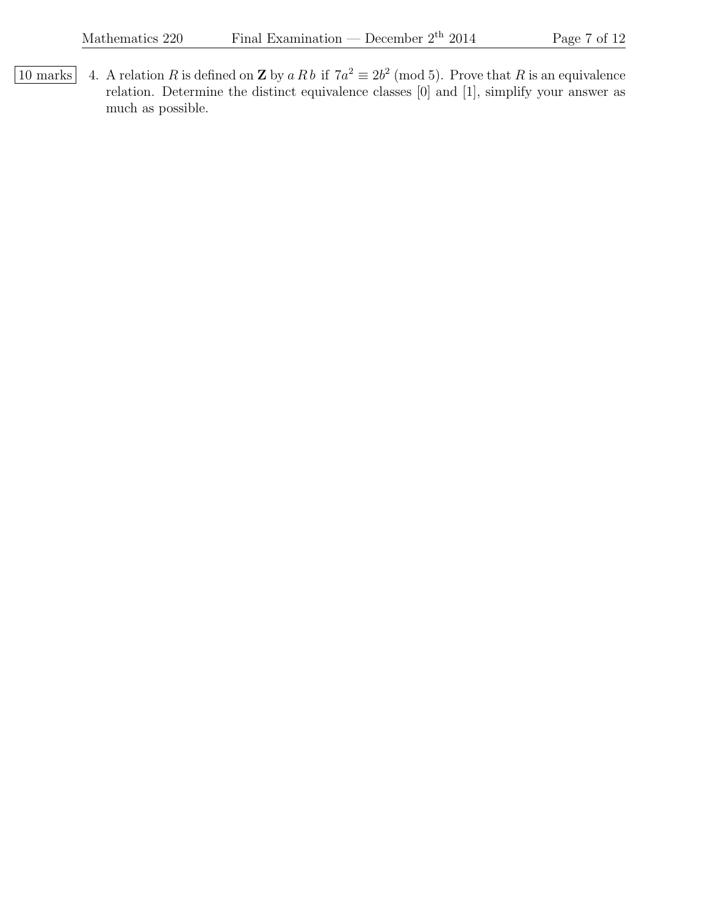10 marks 4. A relation R is defined on **Z** by a R b if  $7a^2 \equiv 2b^2 \pmod{5}$ . Prove that R is an equivalence relation. Determine the distinct equivalence classes [0] and [1], simplify your answer as much as possible.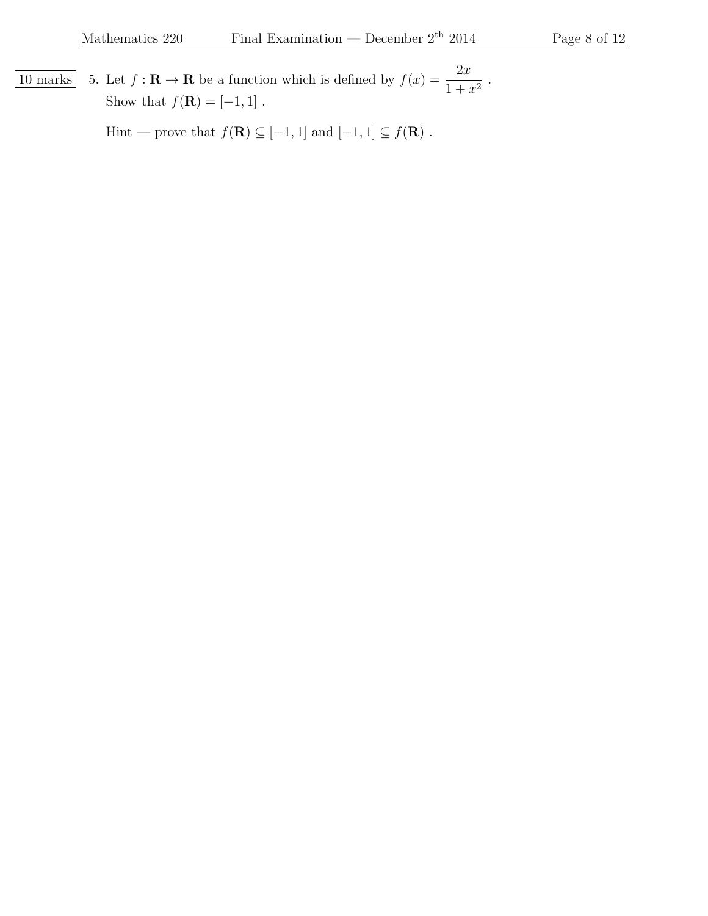10 marks 5. Let  $f : \mathbf{R} \to \mathbf{R}$  be a function which is defined by  $f(x) = \frac{2x}{1+x}$  $\frac{2x}{1+x^2}$ . Show that  $f(\mathbf{R}) = [-1, 1]$ .

Hint — prove that  $f(\mathbf{R}) \subseteq [-1,1]$  and  $[-1,1] \subseteq f(\mathbf{R})$  .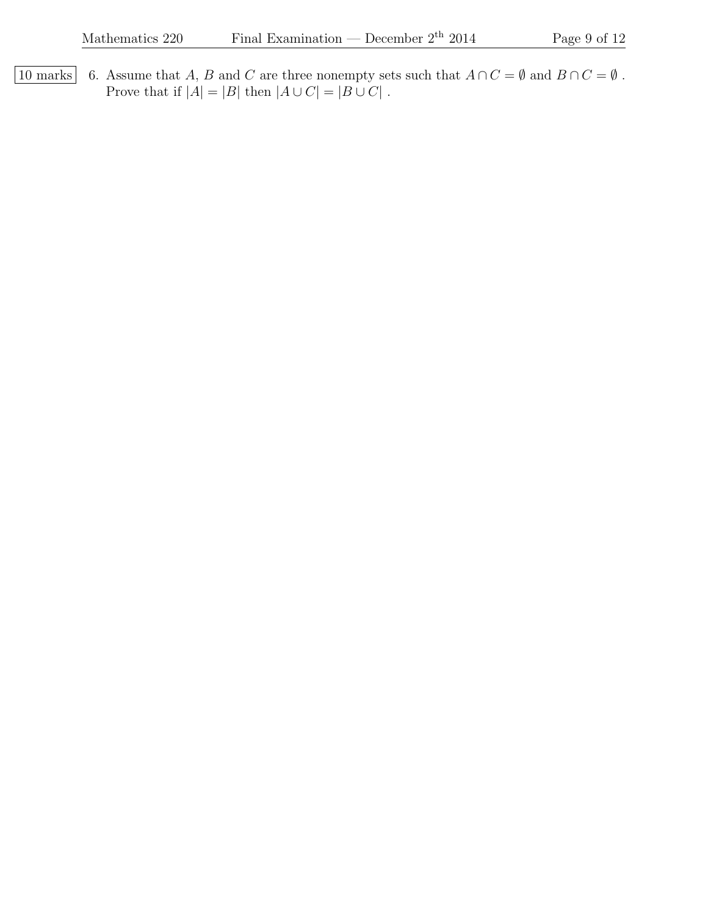10 marks 6. Assume that A, B and C are three nonempty sets such that  $A ∩ C = ∅$  and  $B ∩ C = ∅$ . Prove that if  $|A|=|B|$  then  $|A\cup C|=|B\cup C|$  .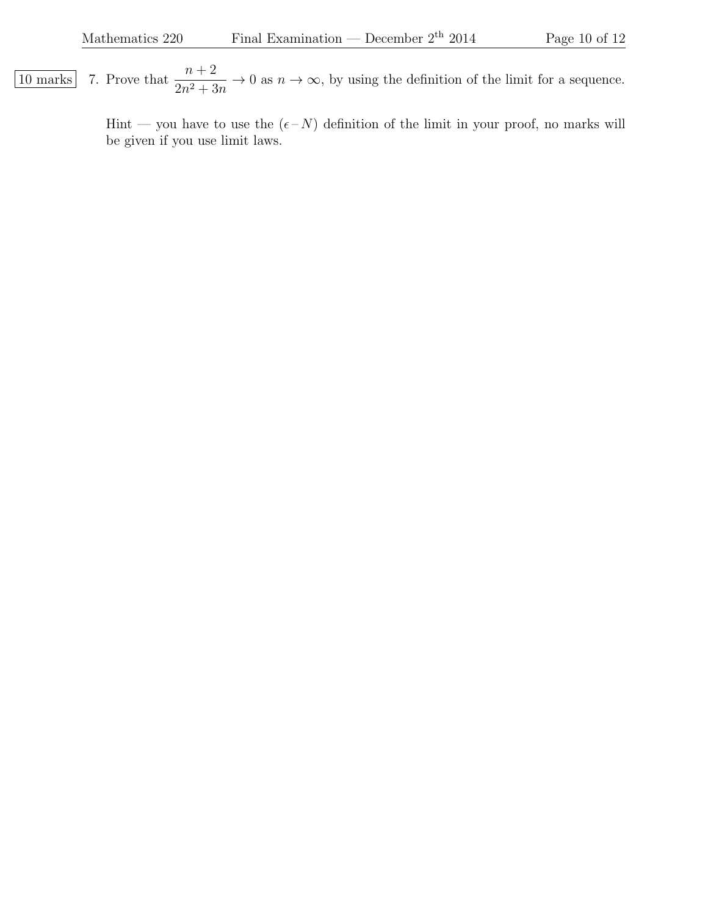$\overline{10 \text{ marks}}$  7. Prove that  $\frac{n+2}{2}$  $2n^2 + 3n$  $\rightarrow 0$  as  $n \rightarrow \infty$ , by using the definition of the limit for a sequence.

> Hint — you have to use the  $(\epsilon - N)$  definition of the limit in your proof, no marks will be given if you use limit laws.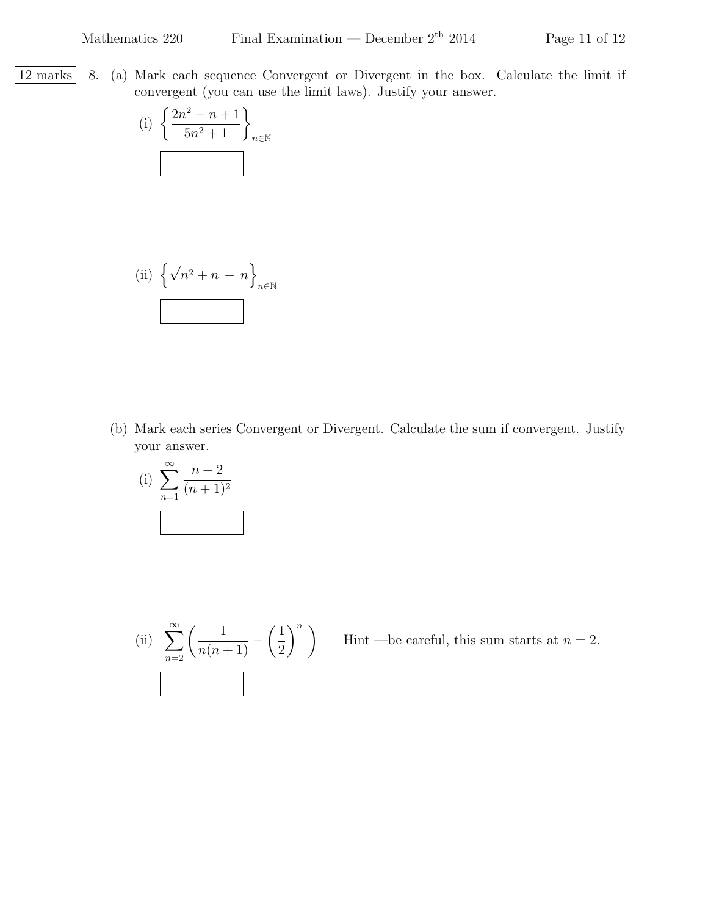|12 marks| 8. (a) Mark each sequence Convergent or Divergent in the box. Calculate the limit if convergent (you can use the limit laws). Justify your answer.

(i) 
$$
\left\{\frac{2n^2 - n + 1}{5n^2 + 1}\right\}_{n \in \mathbb{N}}
$$

(ii) 
$$
\left\{\sqrt{n^2 + n} - n\right\}_{n \in \mathbb{N}}
$$

(b) Mark each series Convergent or Divergent. Calculate the sum if convergent. Justify your answer.

(i) 
$$
\sum_{n=1}^{\infty} \frac{n+2}{(n+1)^2}
$$

(ii) 
$$
\sum_{n=2}^{\infty} \left( \frac{1}{n(n+1)} - \left( \frac{1}{2} \right)^n \right)
$$

Hint —be careful, this sum starts at  $n = 2$ .